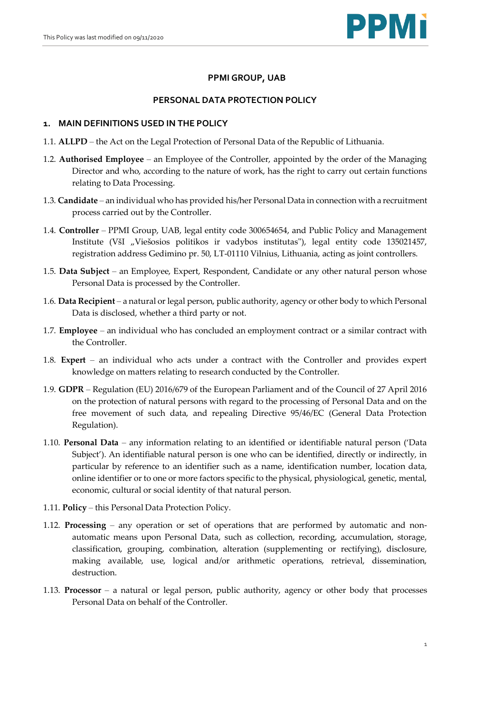

# **PPMI GROUP, UAB**

## **PERSONAL DATA PROTECTION POLICY**

## **1. MAIN DEFINITIONS USED IN THE POLICY**

- 1.1. **ALLPD**  the Act on the Legal Protection of Personal Data of the Republic of Lithuania.
- 1.2. **Authorised Employee** an Employee of the Controller, appointed by the order of the Managing Director and who, according to the nature of work, has the right to carry out certain functions relating to Data Processing.
- 1.3. **Candidate**  an individual who has provided his/her Personal Data in connection with a recruitment process carried out by the Controller.
- 1.4. **Controller** PPMI Group, UAB, legal entity code 300654654, and Public Policy and Management Institute (VšI "Viešosios politikos ir vadybos institutas"), legal entity code 135021457, registration address Gedimino pr. 50, LT-01110 Vilnius, Lithuania, acting as joint controllers.
- 1.5. **Data Subject** an Employee, Expert, Respondent, Candidate or any other natural person whose Personal Data is processed by the Controller.
- 1.6. **Data Recipient** a natural or legal person, public authority, agency or other body to which Personal Data is disclosed, whether a third party or not.
- 1.7. **Employee** an individual who has concluded an employment contract or a similar contract with the Controller.
- 1.8. **Expert**  an individual who acts under a contract with the Controller and provides expert knowledge on matters relating to research conducted by the Controller.
- 1.9. **GDPR** Regulation (EU) 2016/679 of the European Parliament and of the Council of 27 April 2016 on the protection of natural persons with regard to the processing of Personal Data and on the free movement of such data, and repealing Directive 95/46/EC (General Data Protection Regulation).
- 1.10. **Personal Data**  any information relating to an identified or identifiable natural person ('Data Subject'). An identifiable natural person is one who can be identified, directly or indirectly, in particular by reference to an identifier such as a name, identification number, location data, online identifier or to one or more factors specific to the physical, physiological, genetic, mental, economic, cultural or social identity of that natural person.
- 1.11. **Policy**  this Personal Data Protection Policy.
- 1.12. **Processing**  any operation or set of operations that are performed by automatic and nonautomatic means upon Personal Data, such as collection, recording, accumulation, storage, classification, grouping, combination, alteration (supplementing or rectifying), disclosure, making available, use, logical and/or arithmetic operations, retrieval, dissemination, destruction.
- 1.13. **Processor** a natural or legal person, public authority, agency or other body that processes Personal Data on behalf of the Controller.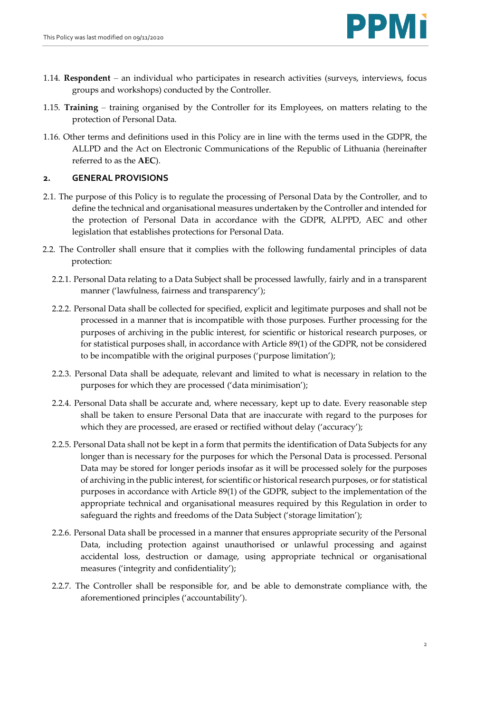- 1.14. **Respondent**  an individual who participates in research activities (surveys, interviews, focus groups and workshops) conducted by the Controller.
- 1.15. **Training**  training organised by the Controller for its Employees, on matters relating to the protection of Personal Data.
- 1.16. Other terms and definitions used in this Policy are in line with the terms used in the GDPR, the ALLPD and the Act on Electronic Communications of the Republic of Lithuania (hereinafter referred to as the **AEC**).

# **2. GENERAL PROVISIONS**

- 2.1. The purpose of this Policy is to regulate the processing of Personal Data by the Controller, and to define the technical and organisational measures undertaken by the Controller and intended for the protection of Personal Data in accordance with the GDPR, ALPPD, AEC and other legislation that establishes protections for Personal Data.
- 2.2. The Controller shall ensure that it complies with the following fundamental principles of data protection:
	- 2.2.1. Personal Data relating to a Data Subject shall be processed lawfully, fairly and in a transparent manner ('lawfulness, fairness and transparency');
	- 2.2.2. Personal Data shall be collected for specified, explicit and legitimate purposes and shall not be processed in a manner that is incompatible with those purposes. Further processing for the purposes of archiving in the public interest, for scientific or historical research purposes, or for statistical purposes shall, in accordance with Article 89(1) of the GDPR, not be considered to be incompatible with the original purposes ('purpose limitation');
	- 2.2.3. Personal Data shall be adequate, relevant and limited to what is necessary in relation to the purposes for which they are processed ('data minimisation');
	- 2.2.4. Personal Data shall be accurate and, where necessary, kept up to date. Every reasonable step shall be taken to ensure Personal Data that are inaccurate with regard to the purposes for which they are processed, are erased or rectified without delay ('accuracy');
	- 2.2.5. Personal Data shall not be kept in a form that permits the identification of Data Subjects for any longer than is necessary for the purposes for which the Personal Data is processed. Personal Data may be stored for longer periods insofar as it will be processed solely for the purposes of archiving in the public interest, for scientific or historical research purposes, or for statistical purposes in accordance with Article 89(1) of the GDPR, subject to the implementation of the appropriate technical and organisational measures required by this Regulation in order to safeguard the rights and freedoms of the Data Subject ('storage limitation');
	- 2.2.6. Personal Data shall be processed in a manner that ensures appropriate security of the Personal Data, including protection against unauthorised or unlawful processing and against accidental loss, destruction or damage, using appropriate technical or organisational measures ('integrity and confidentiality');
	- 2.2.7. The Controller shall be responsible for, and be able to demonstrate compliance with, the aforementioned principles ('accountability').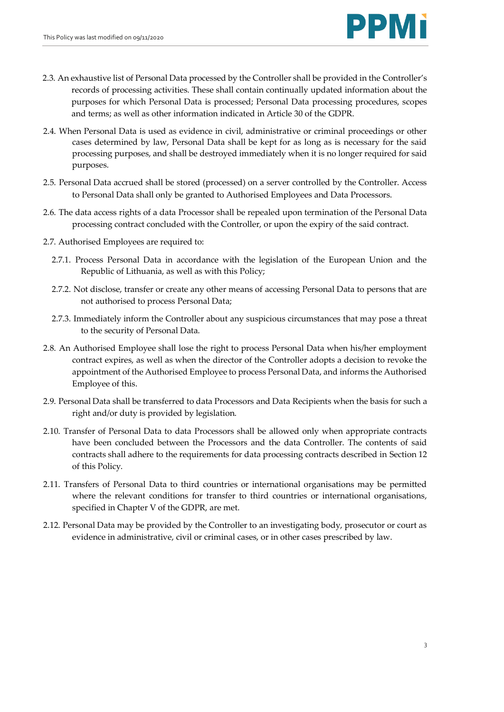

- 2.3. An exhaustive list of Personal Data processed by the Controller shall be provided in the Controller's records of processing activities. These shall contain continually updated information about the purposes for which Personal Data is processed; Personal Data processing procedures, scopes and terms; as well as other information indicated in Article 30 of the GDPR.
- 2.4. When Personal Data is used as evidence in civil, administrative or criminal proceedings or other cases determined by law, Personal Data shall be kept for as long as is necessary for the said processing purposes, and shall be destroyed immediately when it is no longer required for said purposes.
- 2.5. Personal Data accrued shall be stored (processed) on a server controlled by the Controller. Access to Personal Data shall only be granted to Authorised Employees and Data Processors.
- 2.6. The data access rights of a data Processor shall be repealed upon termination of the Personal Data processing contract concluded with the Controller, or upon the expiry of the said contract.
- 2.7. Authorised Employees are required to:
	- 2.7.1. Process Personal Data in accordance with the legislation of the European Union and the Republic of Lithuania, as well as with this Policy;
	- 2.7.2. Not disclose, transfer or create any other means of accessing Personal Data to persons that are not authorised to process Personal Data;
	- 2.7.3. Immediately inform the Controller about any suspicious circumstances that may pose a threat to the security of Personal Data.
- 2.8. An Authorised Employee shall lose the right to process Personal Data when his/her employment contract expires, as well as when the director of the Controller adopts a decision to revoke the appointment of the Authorised Employee to process Personal Data, and informs the Authorised Employee of this.
- 2.9. Personal Data shall be transferred to data Processors and Data Recipients when the basis for such a right and/or duty is provided by legislation.
- 2.10. Transfer of Personal Data to data Processors shall be allowed only when appropriate contracts have been concluded between the Processors and the data Controller. The contents of said contracts shall adhere to the requirements for data processing contracts described in Sectio[n 12](#page-8-0) of this Policy.
- 2.11. Transfers of Personal Data to third countries or international organisations may be permitted where the relevant conditions for transfer to third countries or international organisations, specified in Chapter V of the GDPR, are met.
- 2.12. Personal Data may be provided by the Controller to an investigating body, prosecutor or court as evidence in administrative, civil or criminal cases, or in other cases prescribed by law.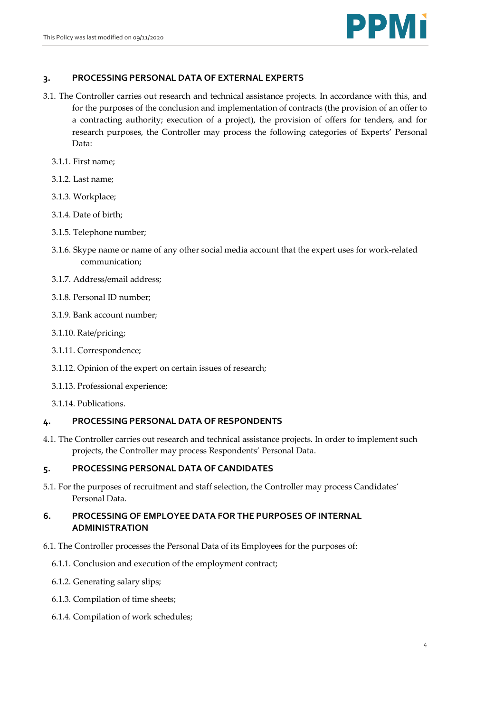

## **3. PROCESSING PERSONAL DATA OF EXTERNAL EXPERTS**

- 3.1. The Controller carries out research and technical assistance projects. In accordance with this, and for the purposes of the conclusion and implementation of contracts (the provision of an offer to a contracting authority; execution of a project), the provision of offers for tenders, and for research purposes, the Controller may process the following categories of Experts' Personal Data:
	- 3.1.1. First name;
	- 3.1.2. Last name;
	- 3.1.3. Workplace;
	- 3.1.4. Date of birth;
	- 3.1.5. Telephone number;
	- 3.1.6. Skype name or name of any other social media account that the expert uses for work-related communication;
	- 3.1.7. Address/email address;
	- 3.1.8. Personal ID number;
	- 3.1.9. Bank account number;
	- 3.1.10. Rate/pricing;
	- 3.1.11. Correspondence;
	- 3.1.12. Opinion of the expert on certain issues of research;
	- 3.1.13. Professional experience;
	- 3.1.14. Publications.

### **4. PROCESSING PERSONAL DATA OF RESPONDENTS**

4.1. The Controller carries out research and technical assistance projects. In order to implement such projects, the Controller may process Respondents' Personal Data.

## **5. PROCESSING PERSONAL DATA OF CANDIDATES**

5.1. For the purposes of recruitment and staff selection, the Controller may process Candidates' Personal Data.

# **6. PROCESSING OF EMPLOYEE DATA FOR THE PURPOSES OF INTERNAL ADMINISTRATION**

- 6.1. The Controller processes the Personal Data of its Employees for the purposes of:
	- 6.1.1. Conclusion and execution of the employment contract;
	- 6.1.2. Generating salary slips;
	- 6.1.3. Compilation of time sheets;
	- 6.1.4. Compilation of work schedules;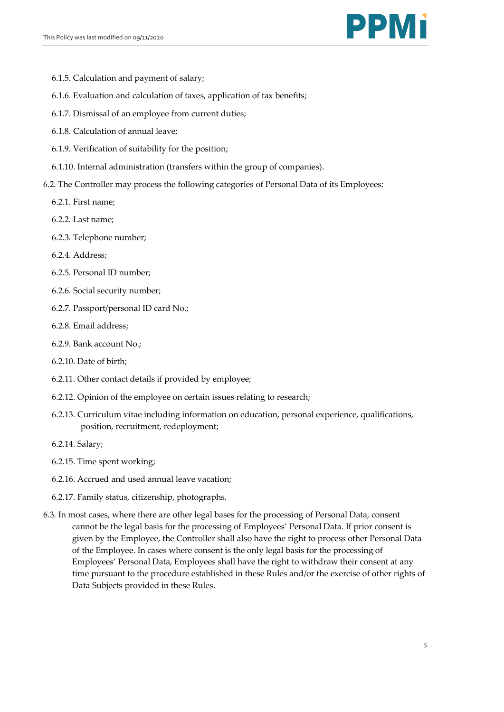

- 6.1.5. Calculation and payment of salary;
- 6.1.6. Evaluation and calculation of taxes, application of tax benefits;
- 6.1.7. Dismissal of an employee from current duties;
- 6.1.8. Calculation of annual leave;
- 6.1.9. Verification of suitability for the position;
- 6.1.10. Internal administration (transfers within the group of companies).
- 6.2. The Controller may process the following categories of Personal Data of its Employees:
	- 6.2.1. First name;
	- 6.2.2. Last name;
	- 6.2.3. Telephone number;
	- 6.2.4. Address;
	- 6.2.5. Personal ID number;
	- 6.2.6. Social security number;
	- 6.2.7. Passport/personal ID card No.;
	- 6.2.8. Email address;
	- 6.2.9. Bank account No.;
	- 6.2.10. Date of birth;
	- 6.2.11. Other contact details if provided by employee;
	- 6.2.12. Opinion of the employee on certain issues relating to research;
	- 6.2.13. Curriculum vitae including information on education, personal experience, qualifications, position, recruitment, redeployment;
	- 6.2.14. Salary;
	- 6.2.15. Time spent working;
	- 6.2.16. Accrued and used annual leave vacation;
	- 6.2.17. Family status, citizenship, photographs.
- 6.3. In most cases, where there are other legal bases for the processing of Personal Data, consent cannot be the legal basis for the processing of Employees' Personal Data. If prior consent is given by the Employee, the Controller shall also have the right to process other Personal Data of the Employee. In cases where consent is the only legal basis for the processing of Employees' Personal Data, Employees shall have the right to withdraw their consent at any time pursuant to the procedure established in these Rules and/or the exercise of other rights of Data Subjects provided in these Rules.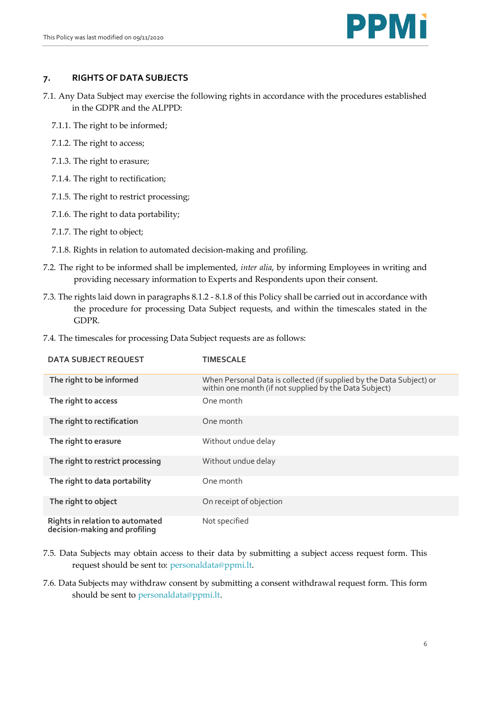

## **7. RIGHTS OF DATA SUBJECTS**

- 7.1. Any Data Subject may exercise the following rights in accordance with the procedures established in the GDPR and the ALPPD:
	- 7.1.1. The right to be informed;
	- 7.1.2. The right to access;
	- 7.1.3. The right to erasure;
	- 7.1.4. The right to rectification;
	- 7.1.5. The right to restrict processing;
	- 7.1.6. The right to data portability;
	- 7.1.7. The right to object;
	- 7.1.8. Rights in relation to automated decision-making and profiling.
- 7.2. The right to be informed shall be implemented, *inter alia*, by informing Employees in writing and providing necessary information to Experts and Respondents upon their consent.
- 7.3. The rights laid down in paragraphs 8.1.2 8.1.8 of this Policy shall be carried out in accordance with the procedure for processing Data Subject requests, and within the timescales stated in the GDPR.
- **DATA SUBJECT REQUEST TIMESCALE The right to be informed** When Personal Data is collected (if supplied by the Data Subject) or within one month (if not supplied by the Data Subject) **The right to access** One month **The right to rectification One month The right to erasure Without undue delay The right to restrict processing Without undue delay The right to data portability** One month **The right to object CONFIDENTIAL CONFIDENTIAL CONFIDENTIAL CONFIDENTIAL CONFIDENTIAL CONFIDENTIAL CONFIDENTIAL CONFIDENTIAL CONFIDENTIAL CONFIDENTIAL CONFIDENTIAL CONFIDENTIAL CONFIDENTIAL CONFIDENTIAL CONFIDENTIAL CONF Rights in relation to automated decision-making and profiling** Not specified
- 7.4. The timescales for processing Data Subject requests are as follows:

- 7.5. Data Subjects may obtain access to their data by submitting a subject access request form. This request should be sent to: personaldata@ppmi.lt.
- 7.6. Data Subjects may withdraw consent by submitting a consent withdrawal request form. This form should be sent to personaldata@ppmi.lt.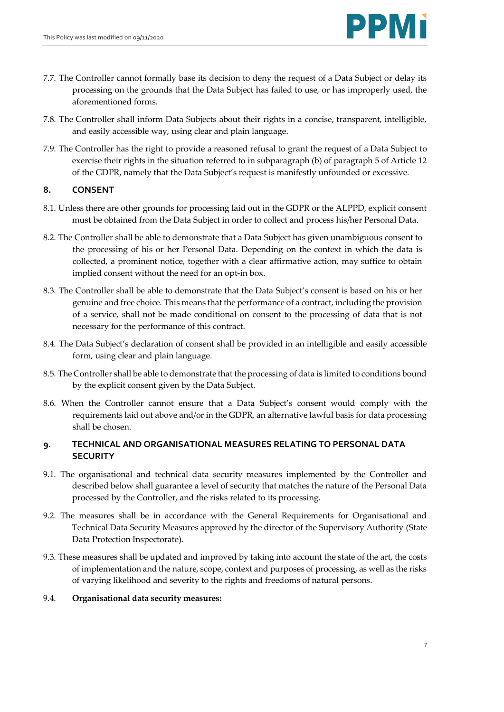

- 7.7. The Controller cannot formally base its decision to deny the request of a Data Subject or delay its processing on the grounds that the Data Subject has failed to use, or has improperly used, the aforementioned forms.
- 7.8. The Controller shall inform Data Subjects about their rights in a concise, transparent, intelligible, and easily accessible way, using clear and plain language.
- 7.9. The Controller has the right to provide a reasoned refusal to grant the request of a Data Subject to exercise their rights in the situation referred to in subparagraph (b) of paragraph 5 of Article 12 of the GDPR, namely that the Data Subject's request is manifestly unfounded or excessive.

## **8. CONSENT**

- 8.1. Unless there are other grounds for processing laid out in the GDPR or the ALPPD, explicit consent must be obtained from the Data Subject in order to collect and process his/her Personal Data.
- 8.2. The Controller shall be able to demonstrate that a Data Subject has given unambiguous consent to the processing of his or her Personal Data. Depending on the context in which the data is collected, a prominent notice, together with a clear affirmative action, may suffice to obtain implied consent without the need for an opt-in box.
- 8.3. The Controller shall be able to demonstrate that the Data Subject's consent is based on his or her genuine and free choice. This means that the performance of a contract, including the provision of a service, shall not be made conditional on consent to the processing of data that is not necessary for the performance of this contract.
- 8.4. The Data Subject's declaration of consent shall be provided in an intelligible and easily accessible form, using clear and plain language.
- 8.5. The Controller shall be able to demonstrate that the processing of data is limited to conditions bound by the explicit consent given by the Data Subject.
- 8.6. When the Controller cannot ensure that a Data Subject's consent would comply with the requirements laid out above and/or in the GDPR, an alternative lawful basis for data processing shall be chosen.

# **9. TECHNICAL AND ORGANISATIONAL MEASURES RELATING TO PERSONAL DATA SECURITY**

- 9.1. The organisational and technical data security measures implemented by the Controller and described below shall guarantee a level of security that matches the nature of the Personal Data processed by the Controller, and the risks related to its processing.
- 9.2. The measures shall be in accordance with the General Requirements for Organisational and Technical Data Security Measures approved by the director of the Supervisory Authority (State Data Protection Inspectorate).
- 9.3. These measures shall be updated and improved by taking into account the state of the art, the costs of implementation and the nature, scope, context and purposes of processing, as well as the risks of varying likelihood and severity to the rights and freedoms of natural persons.
- 9.4. **Organisational data security measures:**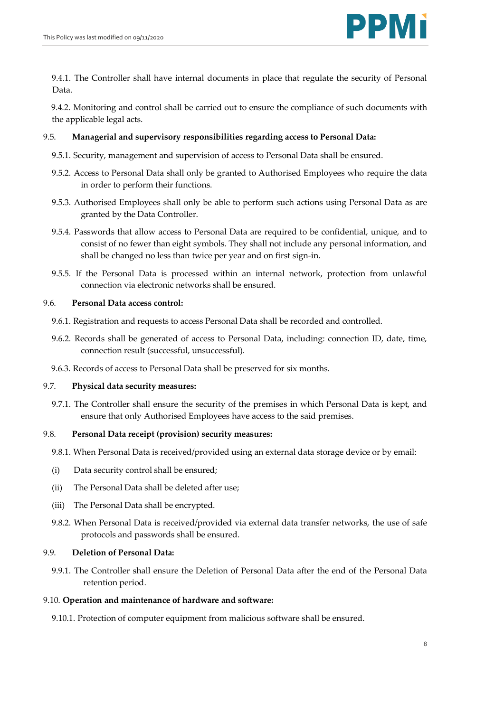9.4.1. The Controller shall have internal documents in place that regulate the security of Personal Data.

9.4.2. Monitoring and control shall be carried out to ensure the compliance of such documents with the applicable legal acts.

### 9.5. **Managerial and supervisory responsibilities regarding access to Personal Data:**

- 9.5.1. Security, management and supervision of access to Personal Data shall be ensured.
- 9.5.2. Access to Personal Data shall only be granted to Authorised Employees who require the data in order to perform their functions.
- 9.5.3. Authorised Employees shall only be able to perform such actions using Personal Data as are granted by the Data Controller.
- 9.5.4. Passwords that allow access to Personal Data are required to be confidential, unique, and to consist of no fewer than eight symbols. They shall not include any personal information, and shall be changed no less than twice per year and on first sign-in.
- 9.5.5. If the Personal Data is processed within an internal network, protection from unlawful connection via electronic networks shall be ensured.

#### 9.6. **Personal Data access control:**

- 9.6.1. Registration and requests to access Personal Data shall be recorded and controlled.
- 9.6.2. Records shall be generated of access to Personal Data, including: connection ID, date, time, connection result (successful, unsuccessful).
- 9.6.3. Records of access to Personal Data shall be preserved for six months.

#### 9.7. **Physical data security measures:**

9.7.1. The Controller shall ensure the security of the premises in which Personal Data is kept, and ensure that only Authorised Employees have access to the said premises.

#### 9.8. **Personal Data receipt (provision) security measures:**

9.8.1. When Personal Data is received/provided using an external data storage device or by email:

- (i) Data security control shall be ensured;
- (ii) The Personal Data shall be deleted after use;
- (iii) The Personal Data shall be encrypted.
- 9.8.2. When Personal Data is received/provided via external data transfer networks, the use of safe protocols and passwords shall be ensured.

#### 9.9. **Deletion of Personal Data:**

9.9.1. The Controller shall ensure the Deletion of Personal Data after the end of the Personal Data retention period.

#### 9.10. **Operation and maintenance of hardware and software:**

9.10.1. Protection of computer equipment from malicious software shall be ensured.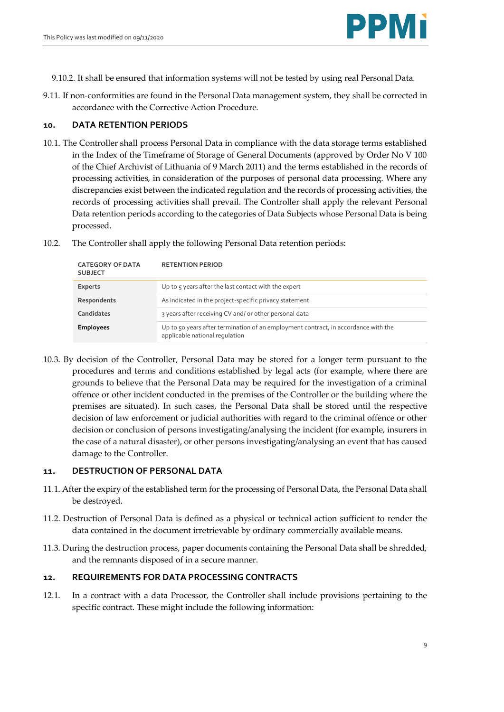

9.10.2. It shall be ensured that information systems will not be tested by using real Personal Data.

9.11. If non-conformities are found in the Personal Data management system, they shall be corrected in accordance with the Corrective Action Procedure.

### **10. DATA RETENTION PERIODS**

- 10.1. The Controller shall process Personal Data in compliance with the data storage terms established in the Index of the Timeframe of Storage of General Documents (approved by Order No V 100 of the Chief Archivist of Lithuania of 9 March 2011) and the terms established in the records of processing activities, in consideration of the purposes of personal data processing. Where any discrepancies exist between the indicated regulation and the records of processing activities, the records of processing activities shall prevail. The Controller shall apply the relevant Personal Data retention periods according to the categories of Data Subjects whose Personal Data is being processed.
- 10.2. The Controller shall apply the following Personal Data retention periods:

| <b>CATEGORY OF DATA</b><br><b>SUBJECT</b> | <b>RETENTION PERIOD</b>                                                                                              |
|-------------------------------------------|----------------------------------------------------------------------------------------------------------------------|
| <b>Experts</b>                            | Up to 5 years after the last contact with the expert                                                                 |
| Respondents                               | As indicated in the project-specific privacy statement                                                               |
| Candidates                                | 3 years after receiving CV and/or other personal data                                                                |
| <b>Employees</b>                          | Up to 50 years after termination of an employment contract, in accordance with the<br>applicable national regulation |

10.3. By decision of the Controller, Personal Data may be stored for a longer term pursuant to the procedures and terms and conditions established by legal acts (for example, where there are grounds to believe that the Personal Data may be required for the investigation of a criminal offence or other incident conducted in the premises of the Controller or the building where the premises are situated). In such cases, the Personal Data shall be stored until the respective decision of law enforcement or judicial authorities with regard to the criminal offence or other decision or conclusion of persons investigating/analysing the incident (for example, insurers in the case of a natural disaster), or other persons investigating/analysing an event that has caused damage to the Controller.

### **11. DESTRUCTION OF PERSONAL DATA**

- 11.1. After the expiry of the established term for the processing of Personal Data, the Personal Data shall be destroyed.
- 11.2. Destruction of Personal Data is defined as a physical or technical action sufficient to render the data contained in the document irretrievable by ordinary commercially available means.
- 11.3. During the destruction process, paper documents containing the Personal Data shall be shredded, and the remnants disposed of in a secure manner.

### <span id="page-8-0"></span>**12. REQUIREMENTS FOR DATA PROCESSING CONTRACTS**

12.1. In a contract with a data Processor, the Controller shall include provisions pertaining to the specific contract. These might include the following information: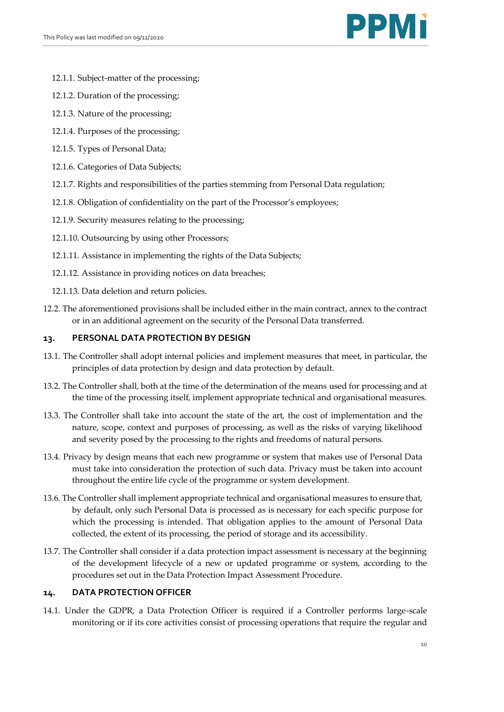

- 12.1.1. Subject-matter of the processing;
- 12.1.2. Duration of the processing;
- 12.1.3. Nature of the processing;
- 12.1.4. Purposes of the processing;
- 12.1.5. Types of Personal Data;
- 12.1.6. Categories of Data Subjects;
- 12.1.7. Rights and responsibilities of the parties stemming from Personal Data regulation;
- 12.1.8. Obligation of confidentiality on the part of the Processor's employees;
- 12.1.9. Security measures relating to the processing;
- 12.1.10. Outsourcing by using other Processors;
- 12.1.11. Assistance in implementing the rights of the Data Subjects;
- 12.1.12. Assistance in providing notices on data breaches;
- 12.1.13. Data deletion and return policies.
- 12.2. The aforementioned provisions shall be included either in the main contract, annex to the contract or in an additional agreement on the security of the Personal Data transferred.

## **13. PERSONAL DATA PROTECTION BY DESIGN**

- 13.1. The Controller shall adopt internal policies and implement measures that meet, in particular, the principles of data protection by design and data protection by default.
- 13.2. The Controller shall, both at the time of the determination of the means used for processing and at the time of the processing itself, implement appropriate technical and organisational measures.
- 13.3. The Controller shall take into account the state of the art, the cost of implementation and the nature, scope, context and purposes of processing, as well as the risks of varying likelihood and severity posed by the processing to the rights and freedoms of natural persons.
- 13.4. Privacy by design means that each new programme or system that makes use of Personal Data must take into consideration the protection of such data. Privacy must be taken into account throughout the entire life cycle of the programme or system development.
- 13.6. The Controller shall implement appropriate technical and organisational measures to ensure that, by default, only such Personal Data is processed as is necessary for each specific purpose for which the processing is intended. That obligation applies to the amount of Personal Data collected, the extent of its processing, the period of storage and its accessibility.
- 13.7. The Controller shall consider if a data protection impact assessment is necessary at the beginning of the development lifecycle of a new or updated programme or system, according to the procedures set out in the Data Protection Impact Assessment Procedure.

# **14. DATA PROTECTION OFFICER**

14.1. Under the GDPR, a Data Protection Officer is required if a Controller performs large-scale monitoring or if its core activities consist of processing operations that require the regular and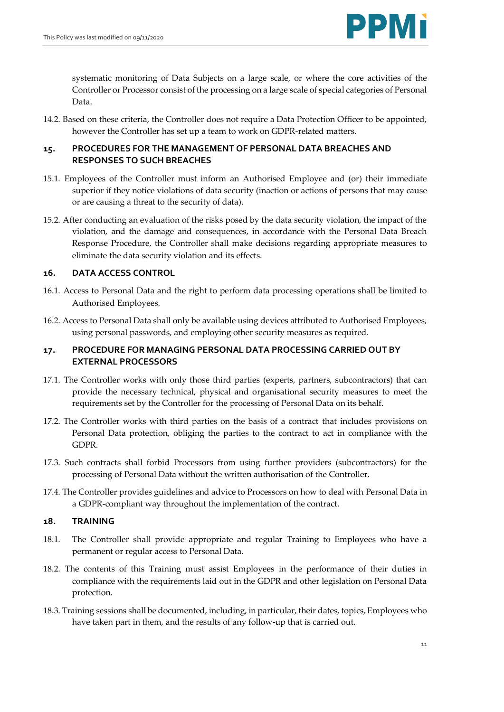systematic monitoring of Data Subjects on a large scale, or where the core activities of the Controller or Processor consist of the processing on a large scale of special categories of Personal Data.

14.2. Based on these criteria, the Controller does not require a Data Protection Officer to be appointed, however the Controller has set up a team to work on GDPR-related matters.

# **15. PROCEDURES FOR THE MANAGEMENT OF PERSONAL DATA BREACHES AND RESPONSES TO SUCH BREACHES**

- 15.1. Employees of the Controller must inform an Authorised Employee and (or) their immediate superior if they notice violations of data security (inaction or actions of persons that may cause or are causing a threat to the security of data).
- 15.2. After conducting an evaluation of the risks posed by the data security violation, the impact of the violation, and the damage and consequences, in accordance with the Personal Data Breach Response Procedure, the Controller shall make decisions regarding appropriate measures to eliminate the data security violation and its effects.

# **16. DATA ACCESS CONTROL**

- 16.1. Access to Personal Data and the right to perform data processing operations shall be limited to Authorised Employees.
- 16.2. Access to Personal Data shall only be available using devices attributed to Authorised Employees, using personal passwords, and employing other security measures as required.

# **17. PROCEDURE FOR MANAGING PERSONAL DATA PROCESSING CARRIED OUT BY EXTERNAL PROCESSORS**

- 17.1. The Controller works with only those third parties (experts, partners, subcontractors) that can provide the necessary technical, physical and organisational security measures to meet the requirements set by the Controller for the processing of Personal Data on its behalf.
- 17.2. The Controller works with third parties on the basis of a contract that includes provisions on Personal Data protection, obliging the parties to the contract to act in compliance with the GDPR.
- 17.3. Such contracts shall forbid Processors from using further providers (subcontractors) for the processing of Personal Data without the written authorisation of the Controller.
- 17.4. The Controller provides guidelines and advice to Processors on how to deal with Personal Data in a GDPR-compliant way throughout the implementation of the contract.

### **18. TRAINING**

- 18.1. The Controller shall provide appropriate and regular Training to Employees who have a permanent or regular access to Personal Data.
- 18.2. The contents of this Training must assist Employees in the performance of their duties in compliance with the requirements laid out in the GDPR and other legislation on Personal Data protection.
- 18.3. Training sessions shall be documented, including, in particular, their dates, topics, Employees who have taken part in them, and the results of any follow-up that is carried out.